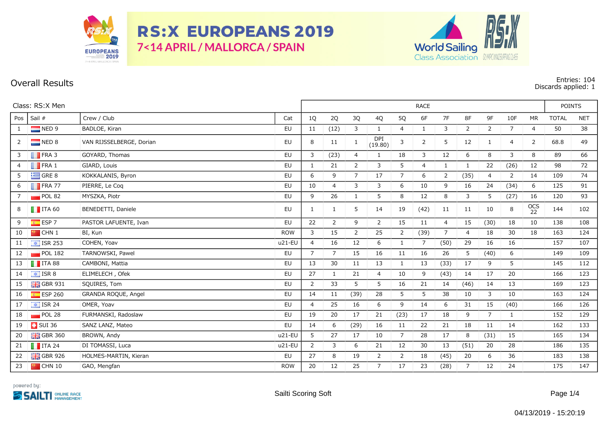

**RS:X EUROPEANS 2019** 7<14 APRIL / MALLORCA / SPAIN



**Overall Results Entries: 104 Discards applied: 1**

| Class: RS:X Men |                            |                          | <b>RACE</b> |                |                |                |                       |                |                |                |                |                |                |                | <b>POINTS</b> |            |  |
|-----------------|----------------------------|--------------------------|-------------|----------------|----------------|----------------|-----------------------|----------------|----------------|----------------|----------------|----------------|----------------|----------------|---------------|------------|--|
| Pos             | Sail #                     | Crew / Club              | Cat         | 1Q             | 2Q             | 3Q             | 4Q                    | 5Q             | 6F             | 7F             | 8F             | 9F             | 10F            | <b>MR</b>      | <b>TOTAL</b>  | <b>NET</b> |  |
| 1               | $\blacksquare$ NED 9       | BADLOE, Kiran            | EU          | 11             | (12)           | 3              | $\mathbf{1}$          | $\overline{4}$ | $\mathbf{1}$   | 3              | $\overline{2}$ | 2              | $\overline{7}$ | $\overline{4}$ | 50            | 38         |  |
| $2^{\circ}$     | NED 8                      | VAN RIJSSELBERGE, Dorian | EU          | 8              | 11             | 1              | <b>DPI</b><br>(19.80) | 3              | 2              | 5              | 12             | 1              | $\overline{4}$ | 2              | 68.8          | 49         |  |
| 3 <sup>7</sup>  | $\blacksquare$ FRA 3       | GOYARD, Thomas           | <b>EU</b>   | 3              | (23)           | 4              | $\mathbf{1}$          | 18             | $\overline{3}$ | 12             | 6              | 8              | $\mathsf{3}$   | 8              | 89            | 66         |  |
| $\overline{4}$  | $\blacksquare$ FRA 1       | GIARD, Louis             | <b>EU</b>   | 1              | 21             | $\overline{2}$ | 3                     | 5 <sup>5</sup> | $\overline{4}$ | 1              | $\mathbf{1}$   | 22             | (26)           | 12             | 98            | 72         |  |
| 5               | $\equiv$ GRE 8             | KOKKALANIS, Byron        | EU          | 6              | 9              | $\overline{7}$ | 17                    | $7^{\circ}$    | 6              | $\overline{2}$ | (35)           | 4              | $\overline{2}$ | 14             | 109           | 74         |  |
| 6               | $\blacksquare$ FRA 77      | PIERRE, Le Coq           | <b>EU</b>   | 10             | $\overline{4}$ | 3              | 3                     | 6              | 10             | 9              | 16             | 24             | (34)           | 6              | 125           | 91         |  |
| $7^{\circ}$     | $\blacksquare$ POL 82      | MYSZKA, Piotr            | EU          | 9              | 26             | $\mathbf{1}$   | 5                     | 8              | 12             | 8              | 3              | 5              | (27)           | 16             | 120           | 93         |  |
| 8               | $\blacksquare$ ITA 60      | BENEDETTI, Daniele       | EU          | 1              | 1              | 5              | 14                    | 19             | (42)           | 11             | 11             | 10             | 8              | OCS<br>22      | 144           | 102        |  |
| 9               | $\overline{\bullet}$ ESP 7 | PASTOR LAFUENTE, Ivan    | <b>EU</b>   | 22             | 2              | 9              | 2                     | 15             | 11             | $\overline{4}$ | 15             | (30)           | 18             | 10             | 138           | 108        |  |
| 10              | $\blacksquare$ CHN 1       | BI, Kun                  | <b>ROW</b>  | 3              | 15             | $\overline{2}$ | 25                    | $\overline{2}$ | (39)           | 7              | 4              | 18             | 30             | 18             | 163           | 124        |  |
| 11              | $\boxed{\div}$ ISR 253     | COHEN, Yoav              | u21-EU      | $\overline{4}$ | 16             | 12             | 6                     | $\mathbf{1}$   | $\overline{7}$ | (50)           | 29             | 16             | 16             |                | 157           | 107        |  |
| 12              | POL 182                    | TARNOWSKI, Pawel         | EU          | $\overline{7}$ | $\overline{7}$ | 15             | 16                    | 11             | 16             | 26             | 5              | (40)           | 6              |                | 149           | 109        |  |
| 13              | $\blacksquare$ ITA 88      | CAMBONI, Mattia          | EU          | 13             | 30             | 11             | 13                    | $\mathbf{1}$   | 13             | (33)           | 17             | 9              | 5              |                | 145           | 112        |  |
| 14              | $\boxed{4}$ ISR 8          | ELIMELECH, Ofek          | EU          | 27             | 1              | 21             | $\overline{4}$        | 10             | 9              | (43)           | 14             | 17             | 20             |                | 166           | 123        |  |
| 15              | $\frac{1}{26}$ GBR 931     | SQUIRES, Tom             | EU          | $\overline{2}$ | 33             | 5              | 5                     | 16             | 21             | 14             | (46)           | 14             | 13             |                | 169           | 123        |  |
| 16              | $E$ ESP 260                | GRANDA ROQUE, Angel      | <b>EU</b>   | 14             | 11             | (39)           | 28                    | 5              | 5              | 38             | 10             | 3              | 10             |                | 163           | 124        |  |
| 17              | $\boxed{\div}$ ISR 24      | OMER, Yoav               | EU          | $\overline{4}$ | 25             | 16             | 6                     | 9              | 14             | 6              | 31             | 15             | (40)           |                | 166           | 126        |  |
| 18              | POL28                      | FURMANSKI, Radoslaw      | <b>EU</b>   | 19             | 20             | 17             | 21                    | (23)           | 17             | 18             | 9              | $\overline{7}$ | $\mathbf{1}$   |                | 152           | 129        |  |
| 19              | $\blacksquare$ SUI 36      | SANZ LANZ, Mateo         | <b>EU</b>   | 14             | 6              | (29)           | 16                    | 11             | 22             | 21             | 18             | 11             | 14             |                | 162           | 133        |  |
| 20              | $\frac{1}{200}$ GBR 360    | BROWN, Andy              | $u21-EU$    | 5              | 27             | 17             | 10                    | $\overline{7}$ | 28             | 17             | 8              | (31)           | 15             |                | 165           | 134        |  |
| 21              | $\blacksquare$ ITA 24      | DI TOMASSI, Luca         | u21-EU      | $\overline{2}$ | 3              | 6              | 21                    | 12             | 30             | 13             | (51)           | 20             | 28             |                | 186           | 135        |  |
| 22              | $GBR$ 926                  | HOLMES-MARTIN, Kieran    | EU          | 27             | 8              | 19             | $\overline{2}$        | $\overline{2}$ | 18             | (45)           | 20             | 6              | 36             |                | 183           | 138        |  |
| 23              | <b>P</b> CHN 10            | GAO, Mengfan             | <b>ROW</b>  | 20             | 12             | 25             | $7\overline{ }$       | 17             | 23             | (28)           | $\overline{7}$ | 12             | 24             |                | 175           | 147        |  |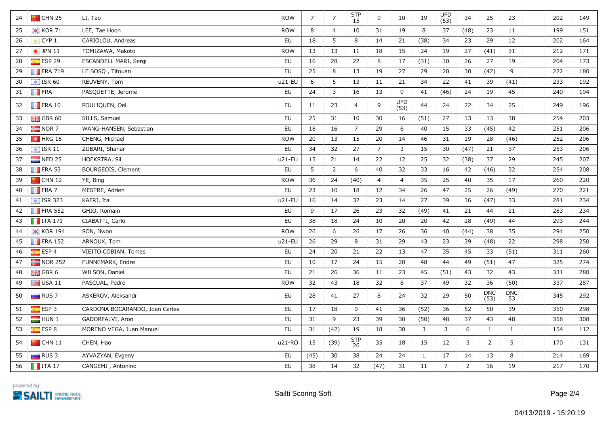| 24 | $\blacksquare$ CHN 25  | LI, Tao                        | <b>ROW</b> | $\overline{7}$ | $\overline{7}$ | <b>STP</b><br>15 | 9               | 10                 | 19           | <b>UFD</b><br>(53) | 34             | 25                 | 23               | 202 | 149 |
|----|------------------------|--------------------------------|------------|----------------|----------------|------------------|-----------------|--------------------|--------------|--------------------|----------------|--------------------|------------------|-----|-----|
| 25 | $\bullet$ KOR 71       | LEE, Tae Hoon                  | <b>ROW</b> | 8              | $\overline{4}$ | 10               | 31              | 19                 | 8            | 37                 | (48)           | 23                 | 11               | 199 | 151 |
| 26 | CYP <sub>1</sub>       | CARIOLOU, Andreas              | EU         | 18             | 5              | 8                | 14              | 21                 | (38)         | 34                 | 23             | 29                 | $12$             | 202 | 164 |
| 27 | $\bullet$ JPN 11       | TOMIZAWA, Makoto               | <b>ROW</b> | 13             | 13             | 11               | 18              | 15                 | 24           | 19                 | 27             | (41)               | 31               | 212 | 171 |
| 28 | $E$ ESP 29             | ESCANDELL MARI, Sergi          | EU         | 16             | 28             | 22               | 8               | 17                 | (31)         | 10                 | 26             | 27                 | 19               | 204 | 173 |
| 29 | $\blacksquare$ FRA 719 | LE BOSQ, Titouan               | EU         | 25             | 8              | 13               | 19              | 27                 | 29           | 20                 | 30             | (42)               | 9                | 222 | 180 |
| 30 | $\boxed{4}$ ISR 60     | REUVENY, Tom                   | $u21-EU$   | 6              | 5              | 13               | 11              | 21                 | 34           | 22                 | 41             | 39                 | (41)             | 233 | 192 |
| 31 | $\blacksquare$ FRA     | PASQUETTE, Jerome              | EU         | 24             | 3              | 16               | 13              | 9                  | 41           | (46)               | 24             | 19                 | 45               | 240 | 194 |
| 32 | $\blacksquare$ FRA 10  | POULIQUEN, Oel                 | EU         | 11             | 23             | $\overline{4}$   | 9               | <b>UFD</b><br>(53) | 44           | 24                 | 22             | 34                 | 25               | 249 | 196 |
| 33 | $GBR$ 60               | SILLS, Samuel                  | EU         | 25             | 31             | 10               | 30              | 16                 | (51)         | 27                 | 13             | 13                 | 38               | 254 | 203 |
| 34 | $\frac{1}{2}$ NOR 7    | WANG-HANSEN, Sebastian         | EU         | 18             | 16             | $\overline{7}$   | 29              | $\boldsymbol{6}$   | 40           | 15                 | 33             | (45)               | 42               | 251 | 206 |
| 35 | <b>★ HKG 16</b>        | CHENG, Michael                 | <b>ROW</b> | 20             | 13             | 15               | 20              | 14                 | 46           | 31                 | 19             | 28                 | (46)             | 252 | 206 |
| 36 | $\boxed{\div}$ ISR 11  | ZUBARI, Shahar                 | EU         | 34             | 32             | 27               | $7\overline{ }$ | 3                  | 15           | 30                 | (47)           | 21                 | 37               | 253 | 206 |
| 37 | $\blacksquare$ NED 25  | HOEKSTRA, Sil                  | u21-EU     | 15             | 21             | 14               | 22              | 12                 | 25           | 32                 | (38)           | 37                 | 29               | 245 | 207 |
| 38 | $\blacksquare$ FRA 53  | BOURGEOIS, Clement             | EU         | 5              | $\overline{2}$ | 6                | 40              | 32                 | 33           | 16                 | 42             | (46)               | 32               | 254 | 208 |
| 39 | $\frac{1}{2}$ CHN 12   | YE, Bing                       | <b>ROW</b> | 36             | 24             | (40)             | $\overline{4}$  | $\overline{4}$     | 35           | 25                 | 40             | 35                 | $17\,$           | 260 | 220 |
| 40 | $\blacksquare$ FRA 7   | MESTRE, Adrien                 | EU         | 23             | 10             | 18               | 12              | 34                 | 26           | 47                 | 25             | 26                 | (49)             | 270 | 221 |
| 41 | $\boxed{\div}$ ISR 323 | KAFRI, Itai                    | $u21-EU$   | 16             | 14             | 32               | 23              | 14                 | 27           | 39                 | 36             | (47)               | 33               | 281 | 234 |
| 42 | $\blacksquare$ FRA 552 | GHIO, Romain                   | EU         | 9              | 17             | 26               | 23              | 32                 | (49)         | 41                 | 21             | 44                 | 21               | 283 | 234 |
| 43 | $\blacksquare$ ITA 171 | CIABATTI, Carlo                | EU         | 38             | 18             | 24               | 10              | 20                 | 20           | 42                 | 28             | (49)               | 44               | 293 | 244 |
| 44 | <b>C</b> KOR 194       | SON, Jiwon                     | <b>ROW</b> | 26             | 6              | 26               | 17              | 26                 | 36           | 40                 | (44)           | 38                 | 35               | 294 | 250 |
| 45 | $\blacksquare$ FRA 152 | ARNOUX, Tom                    | u21-EU     | 26             | 29             | 8                | 31              | 29                 | 43           | 23                 | 39             | (48)               | 22               | 298 | 250 |
| 46 | $E = ESP 4$            | VIEITO COBIAN, Tomas           | EU         | 24             | 20             | 21               | 22              | 13                 | 47           | 35                 | 45             | 33                 | (51)             | 311 | 260 |
| 47 | $\blacksquare$ NOR 252 | FUNNEMARK, Endre               | EU         | 10             | 17             | 24               | 15              | 20                 | 48           | 44                 | 49             | (51)               | 47               | 325 | 274 |
| 48 | $GBR$ 6                | WILSON, Daniel                 | EU         | 21             | 26             | 36               | 11              | 23                 | 45           | (51)               | 43             | 32                 | 43               | 331 | 280 |
| 49 | $\Box$ USA 11          | PASCUAL, Pedro                 | <b>ROW</b> | 32             | 43             | 18               | 32              | 8                  | 37           | 49                 | 32             | 36                 | (50)             | 337 | 287 |
| 50 | $\blacksquare$ RUS 7   | ASKEROV, Aleksandr             | EU         | 28             | 41             | 27               | 8               | 24                 | 32           | 29                 | 50             | <b>DNC</b><br>(53) | <b>DNC</b><br>53 | 345 | 292 |
| 51 | ESP3                   | CARDONA BOCARANDO, Joan Carles | EU         | 17             | 18             | 9                | 41              | 36                 | (52)         | 36                 | 52             | 50                 | 39               | 350 | 298 |
| 52 | HUN1                   | GADORFALVI, Aron               | <b>EU</b>  | 31             | 9              | 23               | 39              | 30                 | (50)         | 48                 | 37             | 43                 | 48               | 358 | 308 |
| 53 | <b>ESP 8</b>           | MORENO VEGA, Juan Manuel       | <b>EU</b>  | 31             | (42)           | 19               | 18              | 30                 | $\mathbf{3}$ | 3                  | 6              | $\mathbf{1}$       | $\mathbf{1}$     | 154 | 112 |
| 54 | $\blacksquare$ CHN 11  | CHEN, Hao                      | u21-RO     | 15             | (39)           | STP<br>26        | 35              | 18                 | 15           | 12                 | 3              | $\overline{2}$     | 5                | 170 | 131 |
| 55 | $\Box$ RUS 3           | AYVAZYAN, Evgeny               | EU         | (45)           | 30             | 38               | 24              | 24                 | $\mathbf{1}$ | 17                 | 14             | 13                 | 8                | 214 | 169 |
| 56 | $\blacksquare$ ITA 17  | CANGEMI, Antonino              | EU         | 38             | 14             | 32               | (47)            | 31                 | 11           | $\overline{7}$     | $\overline{2}$ | 16                 | 19               | 217 | 170 |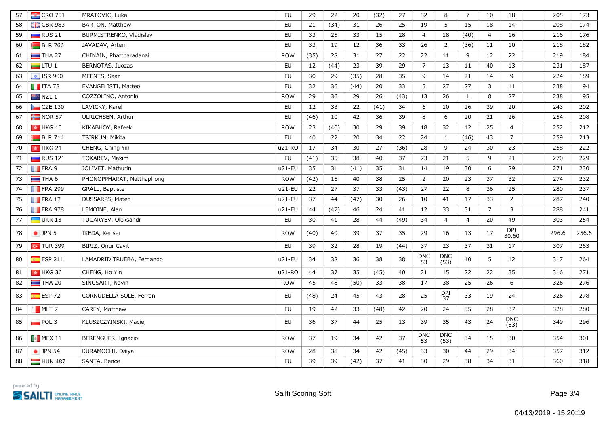| 57 | $\frac{1}{2}$ CRO 751  | MRATOVIC, Luka            | EU         | 29   | 22   | 20   | (32) | 27   | 32               | 8                  | $\overline{7}$ | 10             | 18                 | 205   | 173   |
|----|------------------------|---------------------------|------------|------|------|------|------|------|------------------|--------------------|----------------|----------------|--------------------|-------|-------|
| 58 | <b>H</b> GBR 983       | BARTON, Matthew           | EU         | 21   | (34) | 31   | 26   | 25   | 19               | 5                  | 15             | 18             | 14                 | 208   | 174   |
| 59 | $\blacksquare$ RUS 21  | BURMISTRENKO, Vladislav   | EU         | 33   | 25   | 33   | 15   | 28   | $\overline{4}$   | 18                 | (40)           | $\overline{4}$ | 16                 | 216   | 176   |
| 60 | $BLR$ 766              | JAVADAV, Artem            | <b>EU</b>  | 33   | 19   | 12   | 36   | 33   | 26               | $\overline{2}$     | (36)           | 11             | 10                 | 218   | 182   |
| 61 | $\blacksquare$ THA 27  | CHINAIN, Phattharadanai   | <b>ROW</b> | (35) | 28   | 31   | 27   | 22   | 22               | 11                 | 9              | 12             | 22                 | 219   | 184   |
| 62 | $\Box$ LTU 1           | BERNOTAS, Juozas          | EU         | 12   | (44) | 23   | 39   | 29   | $\overline{7}$   | 13                 | 11             | 40             | 13                 | 231   | 187   |
| 63 | $\frac{1}{2}$ ISR 900  | MEENTS, Saar              | <b>EU</b>  | 30   | 29   | (35) | 28   | 35   | 9                | 14                 | 21             | 14             | $9\,$              | 224   | 189   |
| 64 | $\blacksquare$ ITA 78  | EVANGELISTI, Matteo       | EU         | 32   | 36   | (44) | 20   | 33   | 5                | 27                 | 27             | 3              | $11\,$             | 238   | 194   |
| 65 | $NZL$ 1                | COZZOLINO, Antonio        | <b>ROW</b> | 29   | 36   | 29   | 26   | (43) | 13               | 26                 | $\mathbf{1}$   | 8              | 27                 | 238   | 195   |
| 66 | $CZE$ 130              | LAVICKY, Karel            | EU         | 12   | 33   | 22   | (41) | 34   | 6                | 10                 | 26             | 39             | 20                 | 243   | 202   |
| 67 | $\frac{1}{2}$ NOR 57   | ULRICHSEN, Arthur         | EU         | (46) | 10   | 42   | 36   | 39   | 8                | 6                  | 20             | 21             | 26                 | 254   | 208   |
| 68 | $\frac{1}{2}$ HKG 10   | KIKABHOY, Rafeek          | <b>ROW</b> | 23   | (40) | 30   | 29   | 39   | 18               | 32                 | 12             | 25             | $\overline{4}$     | 252   | 212   |
| 69 | $BLR$ 714              | TSIRKUN, Mikita           | <b>EU</b>  | 40   | 22   | 20   | 34   | 22   | 24               | $\mathbf{1}$       | (46)           | 43             | $\overline{7}$     | 259   | 213   |
| 70 | $\parallel$ HKG 21     | CHENG, Ching Yin          | u21-RO     | 17   | 34   | 30   | 27   | (36) | 28               | 9                  | 24             | 30             | 23                 | 258   | 222   |
| 71 | $\blacksquare$ RUS 121 | TOKAREV, Maxim            | EU         | (41) | 35   | 38   | 40   | 37   | 23               | 21                 | 5              | 9              | $21\,$             | 270   | 229   |
| 72 | <b>FRA 9</b>           | JOLIVET, Mathurin         | u21-EU     | 35   | 31   | (41) | 35   | 31   | 14               | 19                 | 30             | 6              | 29                 | 271   | 230   |
| 73 | $\blacksquare$ THA 6   | PHONOPPHARAT, Natthaphong | <b>ROW</b> | (42) | 15   | 40   | 38   | 25   | $\overline{2}$   | 20                 | 23             | 37             | 32                 | 274   | 232   |
| 74 | $\blacksquare$ FRA 299 | GRALL, Baptiste           | u21-EL     | 22   | 27   | 37   | 33   | (43) | 27               | 22                 | 8              | 36             | 25                 | 280   | 237   |
| 75 | $\blacksquare$ FRA 17  | DUSSARPS, Mateo           | u21-EU     | 37   | 44   | (47) | 30   | 26   | 10               | 41                 | 17             | 33             | $\overline{2}$     | 287   | 240   |
| 76 | $\blacksquare$ FRA 978 | LEMOINE, Alan             | u21-EU     | 44   | (47) | 46   | 24   | 41   | 12               | 33                 | 31             | $\overline{7}$ | 3                  | 288   | 241   |
| 77 | $\Box$ UKR 13          | TUGARYEV, Oleksandr       | EU         | 30   | 41   | 28   | 44   | (49) | 34               | $\overline{4}$     | $\overline{4}$ | 20             | 49                 | 303   | 254   |
| 78 | $\bullet$ JPN 5        | IKEDA, Kensei             | <b>ROW</b> | (40) | 40   | 39   | 37   | 35   | 29               | 16                 | 13             | 17             | DPI<br>30.60       | 296.6 | 256.6 |
| 79 | $\sim$ TUR 399         | BIRIZ, Onur Cavit         | <b>EU</b>  | 39   | 32   | 28   | 19   | (44) | 37               | 23                 | 37             | 31             | 17                 | 307   | 263   |
| 80 | $E$ ESP 211            | LAMADRID TRUEBA, Fernando | $u21-EU$   | 34   | 38   | 36   | 38   | 38   | <b>DNC</b><br>53 | <b>DNC</b><br>(53) | 10             | 5              | 12                 | 317   | 264   |
| 81 | $\parallel$ + HKG 36   | CHENG, Ho Yin             | u21-RO     | 44   | 37   | 35   | (45) | 40   | 21               | 15                 | 22             | 22             | 35                 | 316   | 271   |
| 82 | $\blacksquare$ THA 20  | SINGSART, Navin           | <b>ROW</b> | 45   | 48   | (50) | 33   | 38   | 17               | 38                 | 25             | 26             | 6                  | 326   | 276   |
| 83 | ESP <sub>72</sub>      | CORNUDELLA SOLE, Ferran   | EU         | (48) | 24   | 45   | 43   | 28   | 25               | <b>DPI</b><br>37   | 33             | 19             | 24                 | 326   | 278   |
| 84 | $MLT$ 7                | CAREY, Matthew            | EU         | 19   | 42   | 33   | (48) | 42   | $20\,$           | 24                 | 35             | 28             | 37                 | 328   | 280   |
| 85 | POL3                   | KLUSZCZYINSKI, Maciej     | EU         | 36   | 37   | 44   | 25   | 13   | 39               | 35                 | 43             | 24             | <b>DNC</b><br>(53) | 349   | 296   |
| 86 | $\blacksquare$ MEX 11  | BERENGUER, Ignacio        | <b>ROW</b> | 37   | 19   | 34   | 42   | 37   | <b>DNC</b><br>53 | <b>DNC</b><br>(53) | 34             | 15             | 30                 | 354   | 301   |
| 87 | $\bullet$ JPN 54       | KURAMOCHI, Daiya          | <b>ROW</b> | 28   | 38   | 34   | 42   | (45) | 33               | 30                 | 44             | 29             | 34                 | 357   | 312   |
| 88 | HUN 487                | SANTA, Bence              | <b>EU</b>  | 39   | 39   | (42) | 37   | 41   | 30               | 29                 | 38             | 34             | 31                 | 360   | 318   |